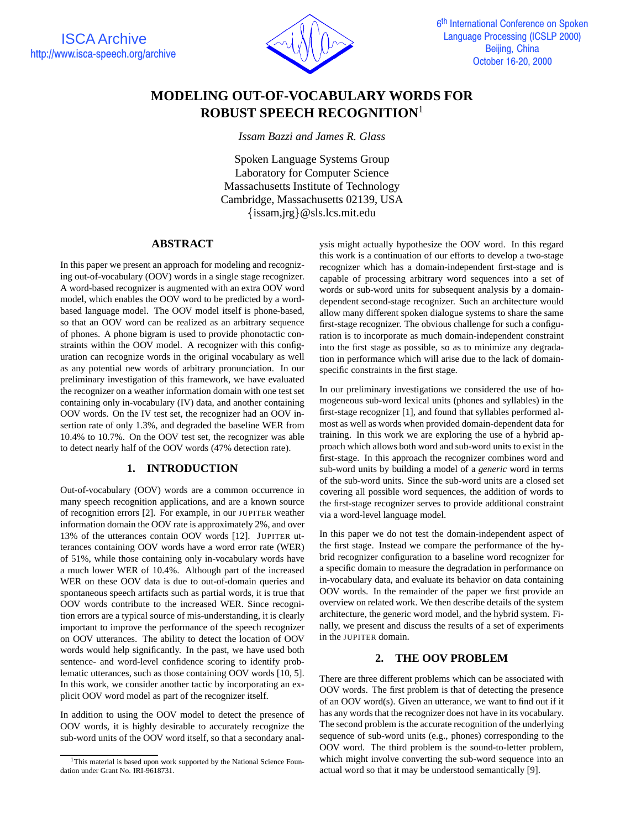

# **MODELING OUT-OF-VOCABULARY WORDS FOR ROBUST SPEECH RECOGNITION**<sup>1</sup>

*Issam Bazzi and James R. Glass*

Spoken Language Systems Group Laboratory for Computer Science Massachusetts Institute of Technology Cambridge, Massachusetts 02139, USA issam,jrg @sls.lcs.mit.edu

### **ABSTRACT**

In this paper we present an approach for modeling and recognizing out-of-vocabulary (OOV) words in a single stage recognizer. A word-based recognizer is augmented with an extra OOV word model, which enables the OOV word to be predicted by a wordbased language model. The OOV model itself is phone-based, so that an OOV word can be realized as an arbitrary sequence of phones. A phone bigram is used to provide phonotactic constraints within the OOV model. A recognizer with this configuration can recognize words in the original vocabulary as well as any potential new words of arbitrary pronunciation. In our preliminary investigation of this framework, we have evaluated the recognizer on a weather information domain with one test set containing only in-vocabulary (IV) data, and another containing OOV words. On the IV test set, the recognizer had an OOV insertion rate of only 1.3%, and degraded the baseline WER from 10.4% to 10.7%. On the OOV test set, the recognizer was able to detect nearly half of the OOV words (47% detection rate).

## **1. INTRODUCTION**

Out-of-vocabulary (OOV) words are a common occurrence in many speech recognition applications, and are a known source of recognition errors [2]. For example, in our JUPITER weather information domain the OOV rate is approximately 2%, and over 13% of the utterances contain OOV words [12]. JUPITER utterances containing OOV words have a word error rate (WER) of 51%, while those containing only in-vocabulary words have a much lower WER of 10.4%. Although part of the increased WER on these OOV data is due to out-of-domain queries and spontaneous speech artifacts such as partial words, it is true that OOV words contribute to the increased WER. Since recognition errors are a typical source of mis-understanding, it is clearly important to improve the performance of the speech recognizer on OOV utterances. The ability to detect the location of OOV words would help significantly. In the past, we have used both sentence- and word-level confidence scoring to identify problematic utterances, such as those containing OOV words [10, 5]. In this work, we consider another tactic by incorporating an explicit OOV word model as part of the recognizer itself.

In addition to using the OOV model to detect the presence of OOV words, it is highly desirable to accurately recognize the sub-word units of the OOV word itself, so that a secondary analysis might actually hypothesize the OOV word. In this regard this work is a continuation of our efforts to develop a two-stage recognizer which has a domain-independent first-stage and is capable of processing arbitrary word sequences into a set of words or sub-word units for subsequent analysis by a domaindependent second-stage recognizer. Such an architecture would allow many different spoken dialogue systems to share the same first-stage recognizer. The obvious challenge for such a configuration is to incorporate as much domain-independent constraint into the first stage as possible, so as to minimize any degradation in performance which will arise due to the lack of domainspecific constraints in the first stage.

In our preliminary investigations we considered the use of homogeneous sub-word lexical units (phones and syllables) in the first-stage recognizer [1], and found that syllables performed almost as well as words when provided domain-dependent data for training. In this work we are exploring the use of a hybrid approach which allows both word and sub-word units to exist in the first-stage. In this approach the recognizer combines word and sub-word units by building a model of a *generic* word in terms of the sub-word units. Since the sub-word units are a closed set covering all possible word sequences, the addition of words to the first-stage recognizer serves to provide additional constraint via a word-level language model.

In this paper we do not test the domain-independent aspect of the first stage. Instead we compare the performance of the hybrid recognizer configuration to a baseline word recognizer for a specific domain to measure the degradation in performance on in-vocabulary data, and evaluate its behavior on data containing OOV words. In the remainder of the paper we first provide an overview on related work. We then describe details of the system architecture, the generic word model, and the hybrid system. Finally, we present and discuss the results of a set of experiments in the JUPITER domain.

# **2. THE OOV PROBLEM**

There are three different problems which can be associated with OOV words. The first problem is that of detecting the presence of an OOV word(s). Given an utterance, we want to find out if it has any words that the recognizer does not have in its vocabulary. The second problem is the accurate recognition of the underlying sequence of sub-word units (e.g., phones) corresponding to the OOV word. The third problem is the sound-to-letter problem, which might involve converting the sub-word sequence into an actual word so that it may be understood semantically [9].

<sup>&</sup>lt;sup>1</sup>This material is based upon work supported by the National Science Foundation under Grant No. IRI-9618731.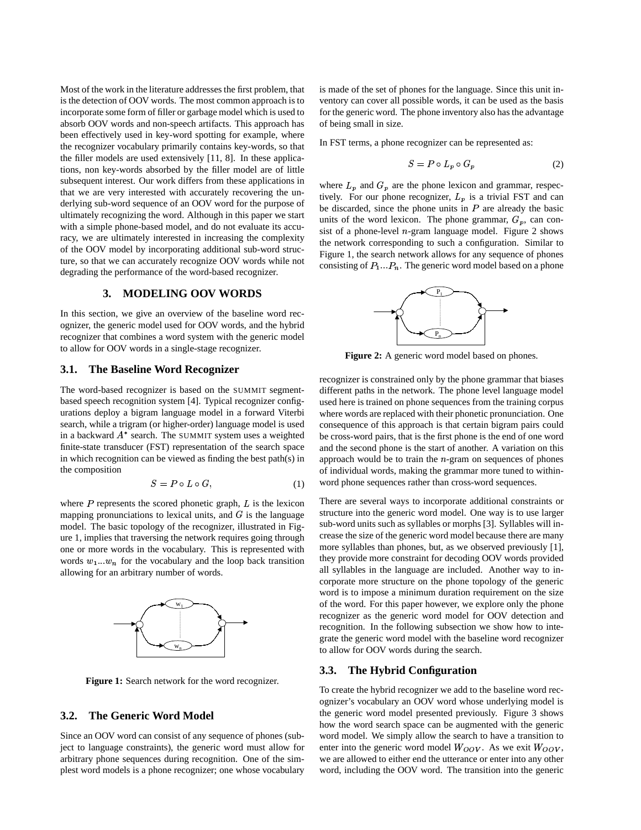Most of the work in the literature addresses the first problem, that is the detection of OOV words. The most common approach is to incorporate some form of filler or garbage model which is used to absorb OOV words and non-speech artifacts. This approach has been effectively used in key-word spotting for example, where the recognizer vocabulary primarily contains key-words, so that the filler models are used extensively [11, 8]. In these applications, non key-words absorbed by the filler model are of little subsequent interest. Our work differs from these applications in that we are very interested with accurately recovering the underlying sub-word sequence of an OOV word for the purpose of ultimately recognizing the word. Although in this paper we start with a simple phone-based model, and do not evaluate its accuracy, we are ultimately interested in increasing the complexity of the OOV model by incorporating additional sub-word structure, so that we can accurately recognize OOV words while not degrading the performance of the word-based recognizer.

# **3. MODELING OOV WORDS**

In this section, we give an overview of the baseline word recognizer, the generic model used for OOV words, and the hybrid recognizer that combines a word system with the generic model to allow for OOV words in a single-stage recognizer.

### **3.1. The Baseline Word Recognizer**

The word-based recognizer is based on the SUMMIT segmentbased speech recognition system [4]. Typical recognizer configurations deploy a bigram language model in a forward Viterbi search, while a trigram (or higher-order) language model is used in a backward  $A^*$  search. The SUMMIT system uses a weighted finite-state transducer (FST) representation of the search space in which recognition can be viewed as finding the best path(s) in the composition 

$$
S = P \circ L \circ G,\tag{1}
$$

where  $P$  represents the scored phonetic graph,  $L$  is the lexicon where  $\Gamma$  represents the scored phonetic graph,  $\Gamma$  is the lexicon mapping pronunciations to lexical units, and  $G$  is the language model. The basic topology of the recognizer, illustrated in Figure 1, implies that traversing the network requires going through one or more words in the vocabulary. This is represented with words  $w_1...w_n$  for the vocabulary and the loop back transition allowing for an arbitrary number of words.



**Figure 1:** Search network for the word recognizer.

# **3.2. The Generic Word Model**

Since an OOV word can consist of any sequence of phones (subject to language constraints), the generic word must allow for arbitrary phone sequences during recognition. One of the simplest word models is a phone recognizer; one whose vocabulary is made of the set of phones for the language. Since this unit inventory can cover all possible words, it can be used as the basis for the generic word. The phone inventory also has the advantage of being small in size.

In FST terms, a phone recognizer can be represented as:

$$
S = P \circ L_p \circ G_p \tag{2}
$$

where  $L_p$  and  $G_p$  are the phone lexicon and grammar, respectively. For our phone recognizer,  $L_p$  is a trivial FST and can tively. For our phone recognizer,  $L_p$  is a trivial FST and can<br>be discarded, since the phone units in P are already the basic units of the word lexicon. The phone grammar,  $G_p$ , can consist of a phone-level  $n$ -gram language model. Figure 2 shows the network corresponding to such a configuration. Similar to Figure 1, the search network allows for any sequence of phones Figure 1, the search hetwork allows for any sequence of phones<br>consisting of  $P_1...P_n$ . The generic word model based on a phone



**Figure 2:** A generic word model based on phones.

recognizer is constrained only by the phone grammar that biases different paths in the network. The phone level language model used here is trained on phone sequences from the training corpus where words are replaced with their phonetic pronunciation. One consequence of this approach is that certain bigram pairs could be cross-word pairs, that is the first phone is the end of one word and the second phone is the start of another. A variation on this approach would be to train the  $n$ -gram on sequences of phones of individual words, making the grammar more tuned to withinword phone sequences rather than cross-word sequences.

There are several ways to incorporate additional constraints or structure into the generic word model. One way is to use larger sub-word units such as syllables or morphs [3]. Syllables will increase the size of the generic word model because there are many more syllables than phones, but, as we observed previously [1], they provide more constraint for decoding OOV words provided all syllables in the language are included. Another way to incorporate more structure on the phone topology of the generic word is to impose a minimum duration requirement on the size of the word. For this paper however, we explore only the phone recognizer as the generic word model for OOV detection and recognition. In the following subsection we show how to integrate the generic word model with the baseline word recognizer to allow for OOV words during the search.

# **3.3. The Hybrid Configuration**

To create the hybrid recognizer we add to the baseline word recognizer's vocabulary an OOV word whose underlying model is the generic word model presented previously. Figure 3 shows how the word search space can be augmented with the generic word model. We simply allow the search to have a transition to enter into the generic word model  $W_{OOV}$ . As we exit  $W_{OOV}$ , we are allowed to either end the utterance or enter into any other word, including the OOV word. The transition into the generic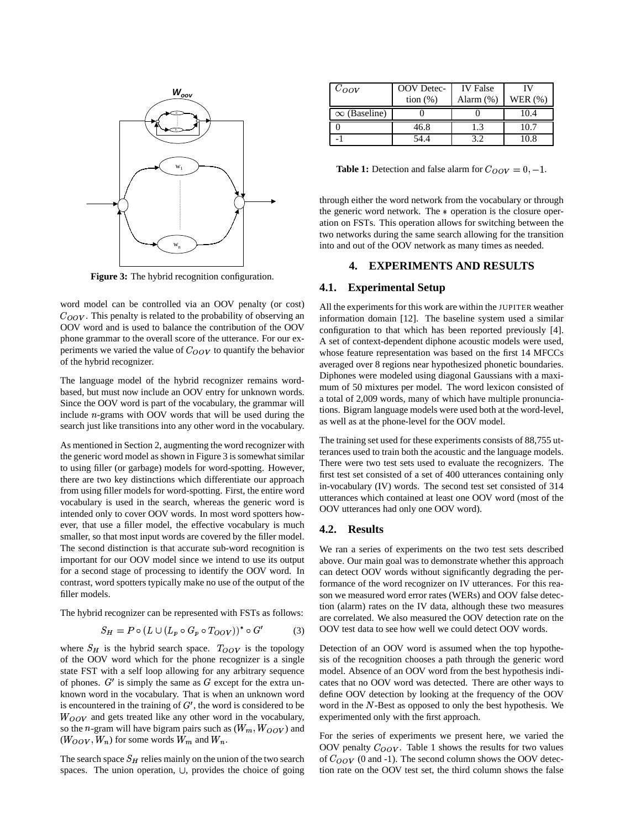

**Figure 3:** The hybrid recognition configuration.

word model can be controlled via an OOV penalty (or cost)  $C_{OOV}$ . This penalty is related to the probability of observing an OOV word and is used to balance the contribution of the OOV phone grammar to the overall score of the utterance. For our experiments we varied the value of  $C_{OOV}$  to quantify the behavior of the hybrid recognizer.

The language model of the hybrid recognizer remains wordbased, but must now include an OOV entry for unknown words. Since the OOV word is part of the vocabulary, the grammar will include  $n$ -grams with OOV words that will be used during the search just like transitions into any other word in the vocabulary.

As mentioned in Section 2, augmenting the word recognizer with the generic word model as shown in Figure 3 is somewhat similar to using filler (or garbage) models for word-spotting. However, there are two key distinctions which differentiate our approach from using filler models for word-spotting. First, the entire word vocabulary is used in the search, whereas the generic word is intended only to cover OOV words. In most word spotters however, that use a filler model, the effective vocabulary is much smaller, so that most input words are covered by the filler model. The second distinction is that accurate sub-word recognition is important for our OOV model since we intend to use its output for a second stage of processing to identify the OOV word. In contrast, word spotters typically make no use of the output of the filler models.

The hybrid recognizer can be represented with FSTs as follows:

$$
S_H = P \circ (L \cup (L_p \circ G_p \circ T_{OOV}))^* \circ G'
$$
 (3)

where  $S_H$  is the hybrid search space.  $T_{OOV}$  is the topology of the OOV word which for the phone recognizer is a single state FST with a self loop allowing for any arbitrary sequence state  $rs1$  with a sen loop anowing for any arounary sequence<br>of phones.  $G'$  is simply the same as  $G$  except for the extra unknown word in the vocabulary. That is when an unknown word  $\mu$  is encountered in the training of  $G'$ , the word is considered to be  $W_{OOV}$  and gets treated like any other word in the vocabulary, so the *n*-gram will have bigram pairs such as  $(W_m, W_{OOV})$  and  $(W_{OOV}, W_n)$  for some words  $W_m$  and  $W_n$ .

The search space  $S_H$  relies mainly on the union of the two search The search space  $SH$  renes manny on the union of the two search spaces. The union operation,  $\cup$ , provides the choice of going

| $C_{OOV}$           | OOV Detec-  | <b>IV</b> False |           |
|---------------------|-------------|-----------------|-----------|
|                     | tion $(\%)$ | Alarm $(\%)$    | WER $(%)$ |
| $\infty$ (Baseline) |             |                 | 10.4      |
|                     | 46.8        | . 3             | 10.7      |
|                     | 54 4        | 39              | 10.8      |

**Table 1:** Detection and false alarm for  $C_{OOV} = 0, -1$ .

through either the word network from the vocabulary or through the generic word network. The  $*$  operation is the closure operation on FSTs. This operation allows for switching between the two networks during the same search allowing for the transition into and out of the OOV network as many times as needed.

### **4. EXPERIMENTS AND RESULTS**

### **4.1. Experimental Setup**

All the experiments for this work are within the JUPITER weather information domain [12]. The baseline system used a similar configuration to that which has been reported previously [4]. A set of context-dependent diphone acoustic models were used, whose feature representation was based on the first 14 MFCCs averaged over 8 regions near hypothesized phonetic boundaries. Diphones were modeled using diagonal Gaussians with a maximum of 50 mixtures per model. The word lexicon consisted of a total of 2,009 words, many of which have multiple pronunciations. Bigram language models were used both at the word-level, as well as at the phone-level for the OOV model.

The training set used for these experiments consists of 88,755 utterances used to train both the acoustic and the language models. There were two test sets used to evaluate the recognizers. The first test set consisted of a set of 400 utterances containing only in-vocabulary (IV) words. The second test set consisted of 314 utterances which contained at least one OOV word (most of the OOV utterances had only one OOV word).

### **4.2. Results**

We ran a series of experiments on the two test sets described above. Our main goal was to demonstrate whether this approach can detect OOV words without significantly degrading the performance of the word recognizer on IV utterances. For this reason we measured word error rates (WERs) and OOV false detection (alarm) rates on the IV data, although these two measures are correlated. We also measured the OOV detection rate on the OOV test data to see how well we could detect OOV words.

Detection of an OOV word is assumed when the top hypothesis of the recognition chooses a path through the generic word model. Absence of an OOV word from the best hypothesis indicates that no OOV word was detected. There are other ways to define OOV detection by looking at the frequency of the OOV word in the  $N$ -Best as opposed to only the best hypothesis. We experimented only with the first approach.

For the series of experiments we present here, we varied the OOV penalty  $C_{OOV}$ . Table 1 shows the results for two values of  $C_{OOV}$  (0 and -1). The second column shows the OOV detection rate on the OOV test set, the third column shows the false